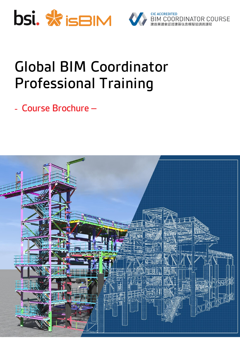



# **Global BIM Coordinator Professional Training**

- *Course Brochure –*

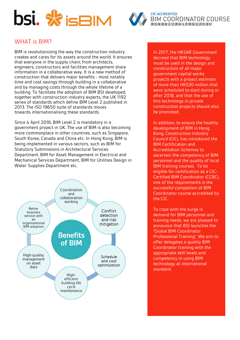



# WHAT is BIM?

BIM is revolutionizing the way the construction industry creates and cares for its assets around the world. It ensures that everyone in the supply chain; from architects, engineers, constructors and facilities management share information in a collaborative way. It is a new method of construction that delivers major benefits - most notably time and cost savings through building in a collaborative and by managing costs through the whole lifetime of a building. To facilitate the adoption of BIM BSI developed, together with construction industry experts, the UK 1192 series of standards which define BIM Level 2 published in 2013. The ISO 19650 suite of standards moves towards internationalising these standards.

Since 4 April 2016, BIM Level 2 is mandatory in a government project in UK. The use of BIM is also becoming more commonplace in other countries, such as Singapore, South Korea, Canada and China etc. In Hong Kong, BIM is being implemented in various sectors, such as BIM for Statutory Submissions in Architectural Services Department, BIM for Asset Management in Electrical and Mechanical Services Department, BIM for Utilities Design in Water Supplies Department etc.



In 2017, the HKSAR Government decreed that BIM technology must be used in the design and construction of all major government capital works projects with a project estimate of more than HK\$30 million that were scheduled to start during or after 2018, and that the use of this technology in private construction projects should also be promoted.

In addition, to ensure the healthy development of BIM in Hong Kong, Construction Industry Council (CIC), has introduced the BIM Certification and Accreditation Schemes to ascertain the competency of BIM personnel and the quality of local BIM training courses. To be eligible for certification as a CIC-Certified BIM Coordinator (CCBC), one of the requirements is the successful completion of BIM Coordinator course accredited by the CIC.

To cope with the surge in demand for BIM personnel and training needs, we are pleased to announce that BSI launches the "Global BIM Coordinator Professional Training". We aim to offer delegates a quality BIM Coordinator training with the appropriate skill levels and competency in using BIM technology at international standard.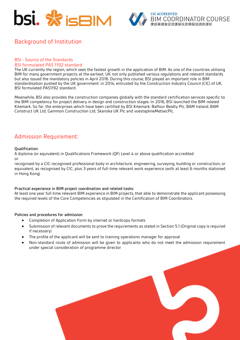



# Background of Institution

#### BSI - Source of the Standards BSI formulated PAS 1192 standard

The UK currently the region, which sees the fastest growth in the application of BIM. As one of the countries utilising BIM for many government projects at the earliest, UK not only published various regulations and relevant standards but also issued the mandatory policies in April 2016. During this course, BSI played an important role in BIM standardisation pushed by the UK government: in 2014, entrusted by the Construction Industry Council (CIC) of UK, BSI formulated PAS1192 standard.

Meanwhile, BSI also provides the construction companies globally with the standard certification services specific to the BIM competency for project delivery in design and construction stages. In 2016, BSI launched the BIM-related Kitemark. So far, the enterprises which have been certified by BSI Kitemark: Balfour Beatty Plc, BAM Ireland, BAM Construct UK Ltd, Gammon Construction Ltd, Skanska UK Plc and voestaplineMetsecPlc.

#### Admission Requirement:

#### **Qualification:**

A diploma (or equivalent) in Qualifications Framework (QF) Level 4 or above qualification accredited or

recognised by a CIC-recognised professional body in architecture, engineering, surveying, building or construction, or equivalent, as recognised by CIC, plus 3 years of full-time relevant work experience (with at least 6 months stationed in Hong Kong)

#### **Practical experience in BIM project coordination and related tasks:**

At least one year full-time relevant BIM experience in BIM projects, that able to demonstrate the applicant possessing the required levels of the Core Competencies as stipulated in the Certification of BIM Coordinators.

#### **Policies and procedures for admission**

- Completion of Application Form by internet or hardcopy formats
- Submission of relevant documents to prove the requirements as stated in Section 5.1 (Original copy is required if necessary)
- The profile of the applicant will be sent to training operations manager for approval
- Non-standard route of admission will be given to applicants who do not meet the admission requirement under special consideration of programme director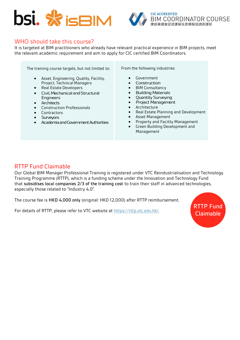



#### WHO should take this course?

It is targeted at BIM practitioners who already have relevant practical experience in BIM projects, meet the relevant academic requirement and aim to apply for CIC certified BIM Coordinators.

The training course targets, but not limited to:

- Asset, Engineering, Quality, Facility, Project, Technical Managers
- Real Estate Developers
- Civil, Mechanical and Structural Engineers
- **Architects**
- Construction Professionals
- Contractors
- **Surveyors**
- Academia and Government Authorities

From the following industries:

- Government
- Construction
- BIM Consultancy
- Building Materials
- Quantity Surveying
- Project Management
- Architecture
- Real Estate Planning and Development
- Asset Management
- Property and Facility Management
- Green Building Development and Management

#### RTTP Fund Claimable

Our Global BIM Manager Professional Training is registered under VTC Reindustrialisation and Technology Training Programme (RTTP), which is a funding scheme under the Innovation and Technology Fund that **subsidises local companies 2/3 of the training cost** to train their staff in advanced technologies, especially those related to "Industry 4.0".

The course fee is **HKD 4,000 only** (original: HKD 12,000) after RTTP reimbursement.

For details of RTTP, please refer to VTC website at [https://rttp.vtc.edu.hk/.](https://rttp.vtc.edu.hk/)

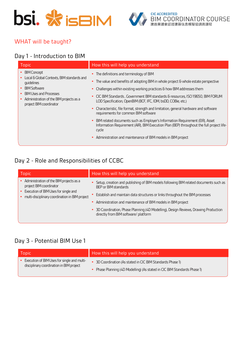



## WHAT will be taught?

# Day 1 - Introduction to BIM

| <b>BIM Concept</b><br>$\bullet$<br>• The definitions and terminology of BIM<br>Local & Global Contexts, BIM standards and<br>• The value and benefits of adopting BIM in whole project & whole estate perspective<br>quidelines<br><b>BIM Software</b><br>Challenges within existing working practices & how BIM addresses them<br><b>BIM Uses and Processes</b><br>CIC BIM Standards, Government BIM standards & resources, ISO 19650, BIM FORUM<br>$\bullet$<br>Administration of the BIM projects as a<br>LOD Specification, OpenBIM (BCF, IFC, IDM, bsDD, COBie, etc.)<br>project BIM coordinator<br>Characteristic, file format, strength and limitation, general hardware and software<br>requirements for common BIM software<br>BIM related documents such as Employer's Information Requirement (EIR), Asset<br>$\bullet$<br>Information Requirement (AIR), BIM Execution Plan (BEP) throughout the full project life- | <b>Topic</b> | How this will help you understand |
|---------------------------------------------------------------------------------------------------------------------------------------------------------------------------------------------------------------------------------------------------------------------------------------------------------------------------------------------------------------------------------------------------------------------------------------------------------------------------------------------------------------------------------------------------------------------------------------------------------------------------------------------------------------------------------------------------------------------------------------------------------------------------------------------------------------------------------------------------------------------------------------------------------------------------------|--------------|-----------------------------------|
| • Administration and maintenance of BIM models in BIM project                                                                                                                                                                                                                                                                                                                                                                                                                                                                                                                                                                                                                                                                                                                                                                                                                                                                   |              | cycle                             |

# Day 2 - Role and Responsibilities of CCBC

| Topic                                                                                                                                                        | How this will help you understand                                                                                            |
|--------------------------------------------------------------------------------------------------------------------------------------------------------------|------------------------------------------------------------------------------------------------------------------------------|
| Administration of the BIM projects as a<br>project BIM coordinator<br>Execution of BIM Uses for single and<br>multi-disciplinary coordination in BIM project | • Setup, creation and publishing of BIM models following BIM related documents such as<br>BEP or BIM standards               |
|                                                                                                                                                              | Establish and maintain data structures or links throughout the BIM processes                                                 |
|                                                                                                                                                              | Administration and maintenance of BIM models in BIM project                                                                  |
|                                                                                                                                                              | • 3D Coordination, Phase Planning (4D Modelling), Design Reviews, Drawing Production<br>directly from BIM software/ platform |

## Day 3 - Potential BIM Use 1

| Topic                                       | How this will help you understand                                        |
|---------------------------------------------|--------------------------------------------------------------------------|
| Execution of BIM Uses for single and multi- | • 3D Coordination (As stated in CIC BIM Standards Phase 1)               |
| disciplinary coordination in BIM project    | • Phase Planning (4D Modelling) (As stated in CIC BIM Standards Phase 1) |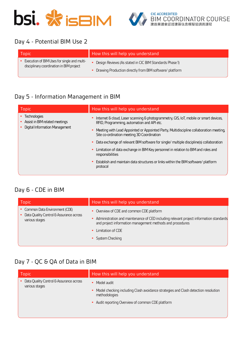



## Day 4 - Potential BIM Use 2

| Topic                                                                                   | How this will help you understand                         |
|-----------------------------------------------------------------------------------------|-----------------------------------------------------------|
| Execution of BIM Uses for single and multi-<br>disciplinary coordination in BIM project | • Design Reviews (As stated in CIC BIM Standards Phase 1) |
|                                                                                         | • Drawing Production directly from BIM software/ platform |

# Day 5 - Information Management in BIM

| <b>Topic</b>                                                                            | How this will help you understand                                                                                                      |
|-----------------------------------------------------------------------------------------|----------------------------------------------------------------------------------------------------------------------------------------|
| <b>Technologies</b><br>Assist in BIM related meetings<br>Digital Information Management | Internet & cloud, Laser scanning & photogrammetry, GIS, IoT, mobile or smart devices,<br>RFID, Programming, automation and API etc.    |
|                                                                                         | • Meeting with Lead Appointed or Appointed Party, Multidiscipline collaboration meeting,<br>Site co-ordination meeting 3D Coordination |
|                                                                                         | • Data exchange of relevant BIM software for single/ multiple discipline(s) collaboration                                              |
|                                                                                         | • Limitation of data exchange in BIM Key personnel in relation to BIM and roles and<br>responsibilities                                |
|                                                                                         | Establish and maintain data structures or links within the BIM software/ platform<br>protocol                                          |
|                                                                                         |                                                                                                                                        |

# Day 6 - CDE in BIM

| <b>Topic</b>                                                                                 | How this will help you understand                                                                                                                                                                                                                                    |
|----------------------------------------------------------------------------------------------|----------------------------------------------------------------------------------------------------------------------------------------------------------------------------------------------------------------------------------------------------------------------|
| • Common Data Environment (CDE)<br>Data Quality Control & Assurance across<br>various stages | • Overview of CDE and common CDE platform<br>Administration and maintenance of CED including relevant project information standards<br>$\bullet$<br>and project information management methods and procedures<br>Limitation of CDE<br>$\bullet$<br>• System Checking |

# Day 7 - QC & QA of Data in BIM

| <b>Topic</b>                                              | How this will help you understand                                                                     |
|-----------------------------------------------------------|-------------------------------------------------------------------------------------------------------|
| Data Quality Control & Assurance across<br>various stages | Model audit                                                                                           |
|                                                           | • Model checking including Clash avoidance strategies and Clash detection resolution<br>methodologies |
|                                                           | Audit reporting Overview of common CDE platform                                                       |
|                                                           |                                                                                                       |
|                                                           |                                                                                                       |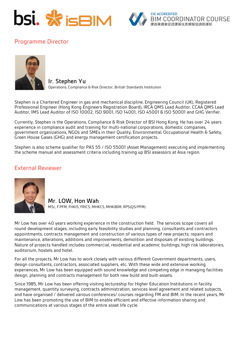



# Programme Director



**Ir. Stephen Yu** Operations, Compliance & Risk Director, British Standards Institution

Stephen is a Chartered Engineer in gas and mechanical discipline, Engineering Council (UK), Registered Professional Engineer (Hong Kong Engineers Registration Board), IRCA QMS Lead Auditor, CCAA QMS Lead Auditor, IMS Lead Auditor of ISO 10002, ISO 9001, ISO 14001, ISO 45001 & ISO 50001 and GHG Verifier.

Currently, Stephen is the Operations, Compliance & Risk Director of BSI Hong Kong. He has over 24 years experience in compliance audit and training for multi-national corporations, domestic companies, government organizations, NGOs and SMEs in their Quality, Environmental, Occupational Health & Safety, Green House Gases (GHG) and energy management certification projects.

Stephen is also scheme qualifier for PAS 55 / ISO 55001 (Asset Management) executing and implementing the scheme manual and assessment criteria including training up BSI assessors at Asia region.

#### External Reviewer



**Mr. LOW, Hon Wah** MSc, F.PFM, FHKIS, FRICS, MHKCS, MHKIBIM, RPS(QS/PFM)

Mr Low has over 40 years working experience in the construction field. The services scope covers all round development stages, including early feasibility studies and planning, consultants and contractors appointments, contracts management and construction of various types of new projects; repairs and maintenance, alterations, additions and improvements, demolition and disposals of existing buildings. Nature of projects handled includes commercial, residential and academic buildings; high risk laboratories, auditorium, hostels and hotel.

For all the projects, Mr Low has to work closely with various different Government departments, users, design consultants, contractors, associated suppliers, etc. With these wide and extensive working experiences, Mr Low has been equipped with sound knowledge and competing edge in managing facilities design, planning and contracts management for both new build and built-assets.

Since 1985, Mr Low has been offering visiting lectureship for Higher Education Institutions in facility management, quantity surveying, contracts administration, services level agreement and related subjects, and have organised / delivered various conferences/ courses regarding FM and BIM. In the recent years, Mr Low has been promoting the use of BIM to enable efficient and effective information sharing and communications at various stages of the entire asset life cycle.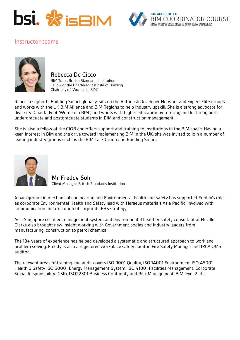



## Instructor teams



#### **Rebecca De Cicco**

BIM Tutor, British Standards Institution Fellow of the Chartered Institute of Building Chairlady of "Women in BIM"

Rebecca supports Building Smart globally, sits on the Autodesk Developer Network and Expert Elite groups and works with the UK BIM Alliance and BIM Regions to help industry upskill. She is a strong advocate for diversity (Chairlady of "Women in BIM") and works with higher education by tutoring and lecturing both undergraduate and postgraduate students in BIM and construction management.

She is also a fellow of the CIOB and offers support and training to institutions in the BIM space. Having a keen interest in BIM and the drive toward implementing BIM in the UK, she was invited to join a number of leading industry groups such as the BIM Task Group and Building Smart.



**Mr Freddy Soh**  Client Manager, British Standards Institution

A background in mechanical engineering and Environmental health and safety has supported Freddy's role as corporate Environmental Health and Safety lead with Heraeus materials Asia Pacific, involved with communication and execution of corporate EHS strategy.

As a Singapore certified management system and environmental health & safety consultant at Neville Clarke also brought new insight working with Government bodies and Industry leaders from manufacturing, construction to petrol chemical.

The 18+ years of experience has helped developed a systematic and structured approach to work and problem solving. Freddy is also a registered workplace safety auditor, Fire Safety Manager and IRCA QMS auditor.

The relevant areas of training and audit covers ISO 9001 Quality, ISO 14001 Environment, ISO 45001 Health & Safety ISO 50001 Energy Management System, ISO 41001 Facilities Management, Corporate Social Responsibility (CSR), ISO22301 Business Continuity and Risk Management, BIM level 2 etc.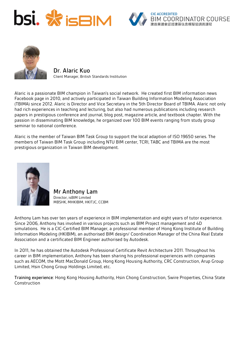





**Dr. Alaric Kuo** Client Manager, British Standards Institution

Alaric is a passionate BIM champion in Taiwan's social network. He created first BIM information news Facebook page in 2010, and actively participated in Taiwan Building Information Modeling Association (TBIMA) since 2012. Alaric is Director and Vice Secretary in the 5th Director Board of TBIMA. Alaric not only had rich experiences in teaching and lecturing, but also had numerous publications including research papers in prestigious conference and journal, blog post, magazine article, and textbook chapter. With the passion in disseminating BIM knowledge, he organized over 100 BIM events ranging from study group seminar to national conference.

Alaric is the member of Taiwan BIM Task Group to support the local adaption of ISO 19650 series. The members of Taiwan BIM Task Group including NTU BIM center, TCRI, TABC and TBIMA are the most prestigious organization in Taiwan BIM development.



**Mr Anthony Lam** Director, isBIM Limited MBSHK, MHKIBIM, HKITJC, CCBM

Anthony Lam has over ten years of experience in BIM implementation and eight years of tutor experience. Since 2006, Anthony has involved in various projects such as BIM Project management and 4D simulations. He is a CIC-Certified BIM Manager, a professional member of Hong Kong Institute of Building Information Modeling (HKIBIM), an authorised BIM design/ Coordination Manager of the China Real Estate Association and a certificated BIM Engineer authorised by Autodesk.

In 2011, he has obtained the Autodesk Professional Certificate Revit Architecture 2011. Throughout his career in BIM implementation, Anthony has been sharing his professional experiences with companies such as AECOM, the Mott MacDonald Group, Hong Kong Housing Authority, CRC Construction, Arup Group Limited, Hsin Chong Group Holdings Limited, etc.

**Training experience:** Hong Kong Housing Authority, Hsin Chong Construction, Swire Properties, China State Construction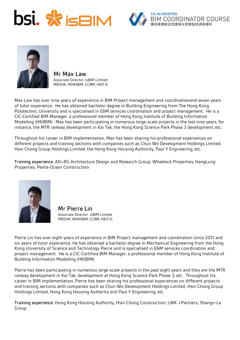





**Mr Max Law** Associate Director, isBIM Limited MBSHK, MHKIBIM, CCBM, HKITJC

Max Law has over nine years of experience in BIM Project management and coordinationand seven years of tutor experience. He has obtained bachelor degree in Building Engineering from The Hong Kong Polytechnic University and is specialised in E&M services coordination and project management. He is a CIC-Certified BIM Manager, a professional member of Hong Kong Institute of Building Information Modelling (HKIBIM). Max has been participating in numerous large-scale projects in the last nine years, for instance, the MTR railway development in Kai Tak, the Hong Kong Science Park Phase 3 development, etc.

Throughout his career in BIM implementation, Max has been sharing his professional experiences on different projects and training sections with companies such as Chun Wo Development Holdings Limited, Hsin Chong Group Holdings Limited, the Hong Kong Housing Authority, Paul Y Engineering, etc.

**Training experience:** AD+RG Architecture Design and Research Group, Wheelock Properties, HangLung Properties, Penta-Ocean Construction



**Mr Pierre Lin** Associate Director, isBIM Limited MBSHK, MHKIBIM, CCBM, HKITJC

Pierre Lin has over eight years of experience in BIM Project management and coordination since 2011 and six years of tutor experience. He has obtained a bachelor degree in Mechanical Engineering from the Hong Kong University of Science and Technology Pierre and is specialised in E&M services coordination and project management. He is a CIC-Certified BIM Manager, a professional member of Hong Kong Institute of Building Information Modelling (HKIBIM).

Pierre has been participating in numerous large-scale projects in the past eight years and they are the MTR railway development in Kai Tak, development at Hong Kong Science Park Phase 3, etc. Throughout his career in BIM implementation, Pierre has been sharing his professional experiences on different projects and training sections with companies such as Chun Wo Development Holdings Limited, Hsin Chong Group Holdings Limited, Hong Kong Housing Authority and Paul Y Engineering, etc.

**Training experience:** Hong Kong Housing Authority, Hsin Chong Construction, LWK +Partners, Shangri-La Group